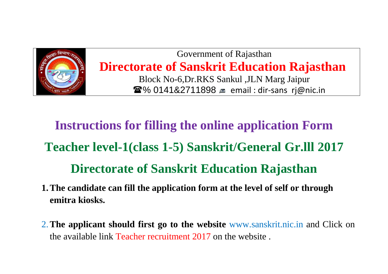

Government of Rajasthan **Directorate of Sanskrit Education Rajasthan** Block No-6,Dr.RKS Sankul ,JLN Marg Jaipur **■% 0141&2711898** ■ email : dir-sans rj@nic.in

## **Instructions for filling the online application Form Teacher level-1(class 1-5) Sanskrit/General Gr.lll 2017 Directorate of Sanskrit Education Rajasthan**

- **1.The candidate can fill the application form at the level of self or through emitra kiosks.**
- 2.**The applicant should first go to the website** www.sanskrit.nic.in and Click on the available link Teacher recruitment 2017 on the website .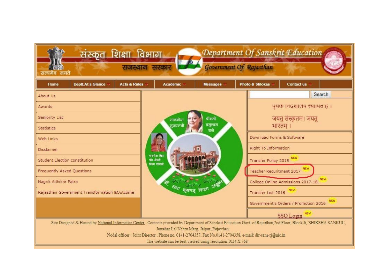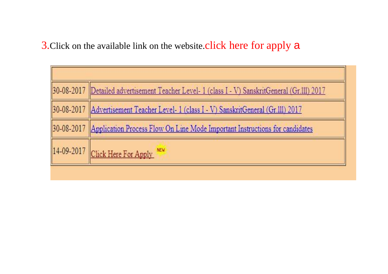3. Click on the available link on the website.click here for apply a

| 30-08-2017 Detailed advertisement Teacher Level- 1 (class I - V) SanskritGeneral (Gr.111) 2017 |
|------------------------------------------------------------------------------------------------|
| 30-08-2017 Advertisement Teacher Level- 1 (class I - V) SanskritGeneral (Gr.111) 2017          |
| 30-08-2017 Application Process Flow On Line Mode Important Instructions for candidates         |
| 14-09-2017 Click Here For Apply                                                                |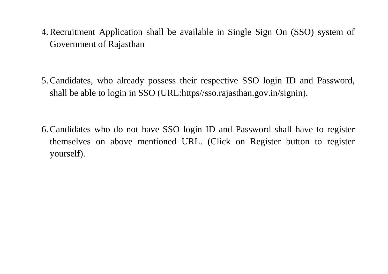- 4.Recruitment Application shall be available in Single Sign On (SSO) system of Government of Rajasthan
- 5.Candidates, who already possess their respective SSO login ID and Password, shall be able to login in SSO (URL:https//sso.rajasthan.gov.in/signin).
- 6.Candidates who do not have SSO login ID and Password shall have to register themselves on above mentioned URL. (Click on Register button to register yourself).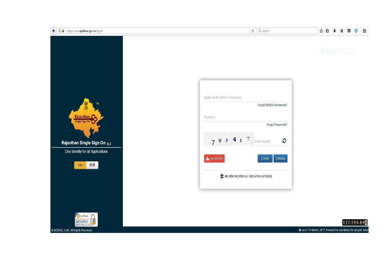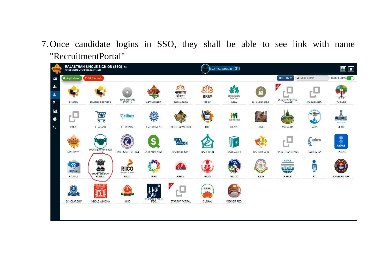## 7. Once candidate logins in SSO, they shall be able to see link with name "RecruitmentPortal"

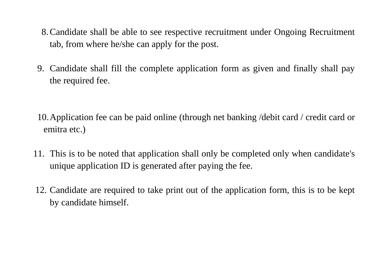- 8.Candidate shall be able to see respective recruitment under Ongoing Recruitment tab, from where he/she can apply for the post.
- 9. Candidate shall fill the complete application form as given and finally shall pay the required fee.
- 10.Application fee can be paid online (through net banking /debit card / credit card or emitra etc.)
- 11. This is to be noted that application shall only be completed only when candidate's unique application ID is generated after paying the fee.
- 12. Candidate are required to take print out of the application form, this is to be kept by candidate himself.